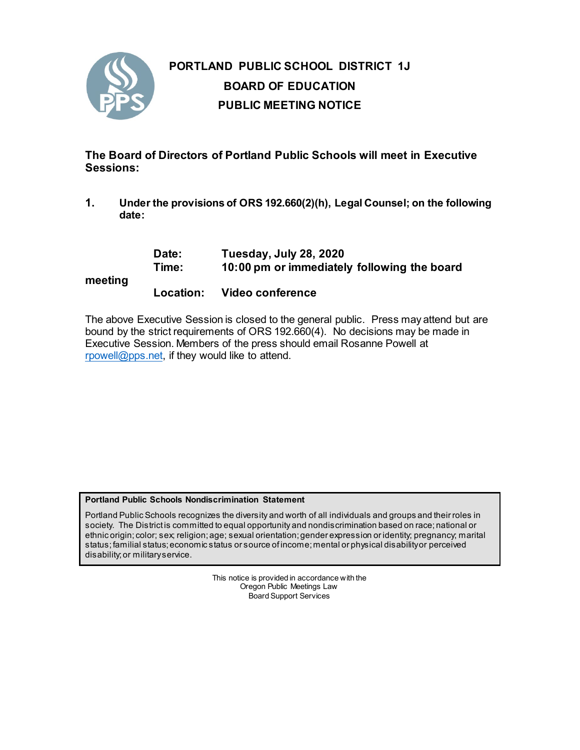

# **PORTLAND PUBLIC SCHOOL DISTRICT 1J BOARD OF EDUCATION PUBLIC MEETING NOTICE**

**The Board of Directors of Portland Public Schools will meet in Executive Sessions:**

**1. Under the provisions of ORS 192.660(2)(h), Legal Counsel; on the following date:**

| meeting | Date:<br>Time: | Tuesday, July 28, 2020<br>10:00 pm or immediately following the board |
|---------|----------------|-----------------------------------------------------------------------|
|         | Location:      | Video conference                                                      |

The above Executive Session is closed to the general public. Press may attend but are bound by the strict requirements of ORS 192.660(4). No decisions may be made in Executive Session. Members of the press should email Rosanne Powell at [rpowell@pps.net,](mailto:rpowell@pps.net) if they would like to attend.

## **Portland Public Schools Nondiscrimination Statement**

Portland Public Schools recognizes the diversity and worth of all individuals and groups and their roles in society. The District is committed to equal opportunity and nondiscrimination based on race; national or ethnic origin; color; sex; religion; age; sexual orientation; gender expression or identity; pregnancy; marital status; familial status; economic status or source of income; mental or physical disability or perceived disability; or military service.

> This notice is provided in accordance with the Oregon Public Meetings Law Board Support Services